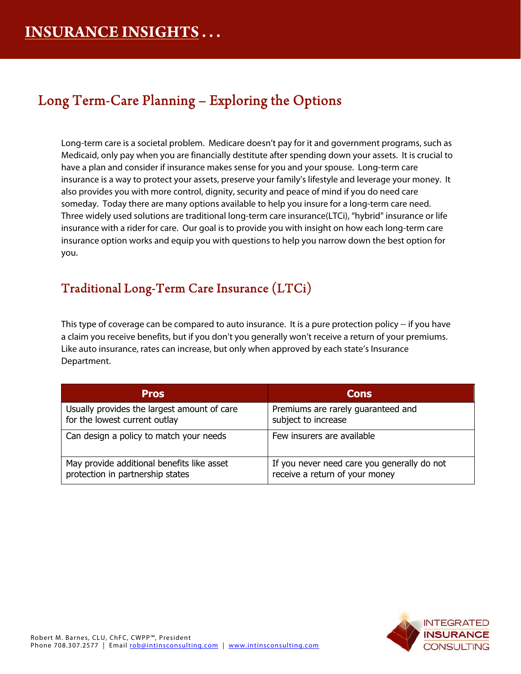# Long Term-Care Planning – Exploring the Options

Long-term care is a societal problem. Medicare doesn't pay for it and government programs, such as Medicaid, only pay when you are financially destitute after spending down your assets. It is crucial to have a plan and consider if insurance makes sense for you and your spouse. Long-term care insurance is a way to protect your assets, preserve your family's lifestyle and leverage your money. It also provides you with more control, dignity, security and peace of mind if you do need care someday. Today there are many options available to help you insure for a long-term care need. Three widely used solutions are traditional long-term care insurance(LTCi), "hybrid" insurance or life insurance with a rider for care. Our goal is to provide you with insight on how each long-term care insurance option works and equip you with questions to help you narrow down the best option for you.

### Traditional Long-Term Care Insurance (LTCi)

This type of coverage can be compared to auto insurance. It is a pure protection policy -- if you have a claim you receive benefits, but if you don't you generally won't receive a return of your premiums. Like auto insurance, rates can increase, but only when approved by each state's Insurance Department.

| <b>Pros</b>                                 | <b>Cons</b>                                 |
|---------------------------------------------|---------------------------------------------|
| Usually provides the largest amount of care | Premiums are rarely guaranteed and          |
| for the lowest current outlay               | subject to increase                         |
| Can design a policy to match your needs     | Few insurers are available                  |
| May provide additional benefits like asset  | If you never need care you generally do not |
| protection in partnership states            | receive a return of your money              |

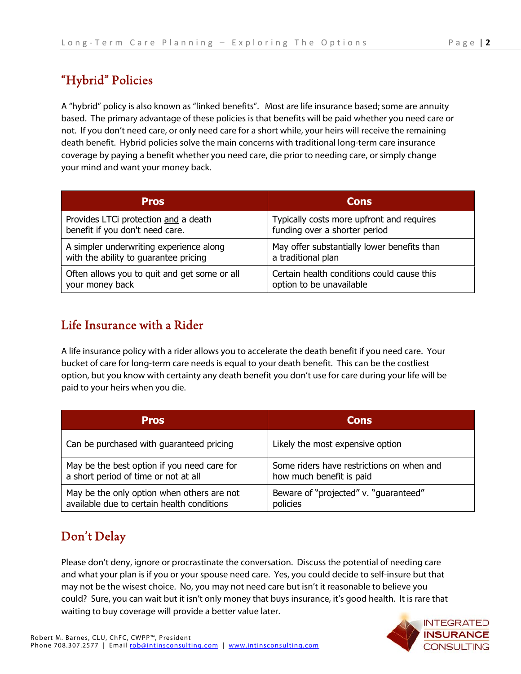## "Hybrid" Policies

A "hybrid" policy is also known as "linked benefits". Most are life insurance based; some are annuity based. The primary advantage of these policies is that benefits will be paid whether you need care or not. If you don't need care, or only need care for a short while, your heirs will receive the remaining death benefit. Hybrid policies solve the main concerns with traditional long-term care insurance coverage by paying a benefit whether you need care, die prior to needing care, or simply change your mind and want your money back.

| <b>Pros</b>                                  | <b>Cons</b>                                 |
|----------------------------------------------|---------------------------------------------|
| Provides LTCi protection and a death         | Typically costs more upfront and requires   |
| benefit if you don't need care.              | funding over a shorter period               |
| A simpler underwriting experience along      | May offer substantially lower benefits than |
| with the ability to guarantee pricing        | a traditional plan                          |
| Often allows you to quit and get some or all | Certain health conditions could cause this  |
| your money back                              | option to be unavailable                    |

#### Life Insurance with a Rider

A life insurance policy with a rider allows you to accelerate the death benefit if you need care. Your bucket of care for long-term care needs is equal to your death benefit. This can be the costliest option, but you know with certainty any death benefit you don't use for care during your life will be paid to your heirs when you die.

| <b>Pros</b>                                 | <b>Cons</b>                               |
|---------------------------------------------|-------------------------------------------|
| Can be purchased with guaranteed pricing    | Likely the most expensive option          |
| May be the best option if you need care for | Some riders have restrictions on when and |
| a short period of time or not at all        | how much benefit is paid                  |
| May be the only option when others are not  | Beware of "projected" v. "quaranteed"     |
| available due to certain health conditions  | policies                                  |

## Don't Delay

Please don't deny, ignore or procrastinate the conversation. Discuss the potential of needing care and what your plan is if you or your spouse need care. Yes, you could decide to self-insure but that may not be the wisest choice. No, you may not need care but isn't it reasonable to believe you could? Sure, you can wait but it isn't only money that buys insurance, it's good health. It is rare that waiting to buy coverage will provide a better value later.